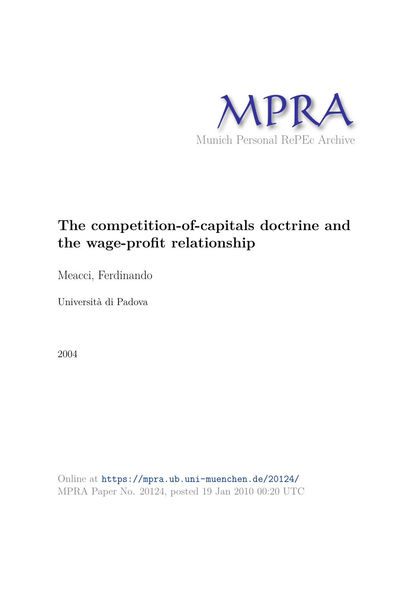

## **The competition-of-capitals doctrine and the wage-profit relationship**

Meacci, Ferdinando

Università di Padova

2004

Online at https://mpra.ub.uni-muenchen.de/20124/ MPRA Paper No. 20124, posted 19 Jan 2010 00:20 UTC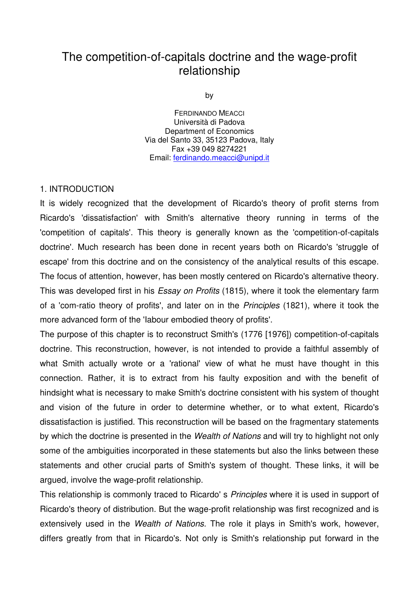## The competition-of-capitals doctrine and the wage-profit relationship

by

FERDINANDO MEACCI Università di Padova Department of Economics Via del Santo 33, 35123 Padova, Italy Fax +39 049 8274221 Email: [ferdinando.meacci@unipd.it](mailto:ferdinando.meacci@unipd.it)

## 1. INTRODUCTION

It is widely recognized that the development of Ricardo's theory of profit sterns from Ricardo's 'dissatisfaction' with Smith's alternative theory running in terms of the 'competition of capitals'. This theory is generally known as the 'competition-of-capitals doctrine'. Much research has been done in recent years both on Ricardo's 'struggle of escape' from this doctrine and on the consistency of the analytical results of this escape. The focus of attention, however, has been mostly centered on Ricardo's alternative theory. This was developed first in his *Essay on Profits* (1815), where it took the elementary farm of a 'com-ratio theory of profits', and later on in the Principles (1821), where it took the more advanced form of the 'Iabour embodied theory of profits'.

The purpose of this chapter is to reconstruct Smith's (1776 [1976]) competition-of-capitals doctrine. This reconstruction, however, is not intended to provide a faithful assembly of what Smith actually wrote or a 'rational' view of what he must have thought in this connection. Rather, it is to extract from his faulty exposition and with the benefit of hindsight what is necessary to make Smith's doctrine consistent with his system of thought and vision of the future in order to determine whether, or to what extent, Ricardo's dissatisfaction is justified. This reconstruction will be based on the fragmentary statements by which the doctrine is presented in the Wealth of Nations and will try to highlight not only some of the ambiguities incorporated in these statements but also the links between these statements and other crucial parts of Smith's system of thought. These links, it will be argued, involve the wage-profit relationship.

This relationship is commonly traced to Ricardo' s *Principles* where it is used in support of Ricardo's theory of distribution. But the wage-profit relationship was first recognized and is extensively used in the Wealth of Nations. The role it plays in Smith's work, however, differs greatly from that in Ricardo's. Not only is Smith's relationship put forward in the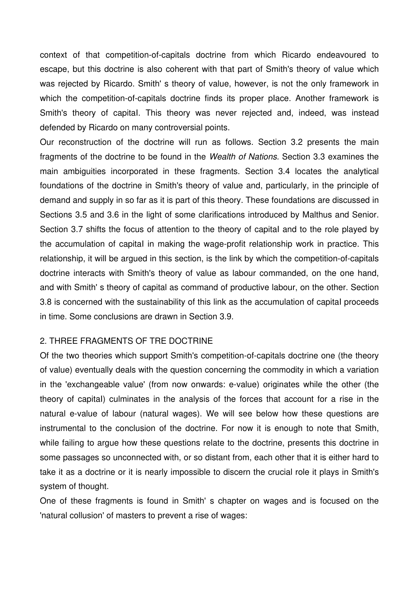context of that competition-of-capitals doctrine from which Ricardo endeavoured to escape, but this doctrine is also coherent with that part of Smith's theory of value which was rejected by Ricardo. Smith' s theory of value, however, is not the only framework in which the competition-of-capitals doctrine finds its proper place. Another framework is Smith's theory of capitaI. This theory was never rejected and, indeed, was instead defended by Ricardo on many controversial points.

Our reconstruction of the doctrine will run as follows. Section 3.2 presents the main fragments of the doctrine to be found in the Wealth of Nations. Section 3.3 examines the main ambiguities incorporated in these fragments. Section 3.4 locates the analytical foundations of the doctrine in Smith's theory of value and, particularly, in the principle of demand and supply in so far as it is part of this theory. These foundations are discussed in Sections 3.5 and 3.6 in the light of some clarifications introduced by Malthus and Senior. Section 3.7 shifts the focus of attention to the theory of capital and to the role played by the accumulation of capital in making the wage-profit relationship work in practice. This relationship, it will be argued in this section, is the link by which the competition-of-capitals doctrine interacts with Smith's theory of value as labour commanded, on the one hand, and with Smith' s theory of capital as command of productive labour, on the other. Section 3.8 is concerned with the sustainability of this link as the accumulation of capital proceeds in time. Some conclusions are drawn in Section 3.9.

## 2. THREE FRAGMENTS OF TRE DOCTRINE

Of the two theories which support Smith's competition-of-capitals doctrine one (the theory of value) eventually deals with the question concerning the commodity in which a variation in the 'exchangeable value' (from now onwards: e-value) originates while the other (the theory of capitaI) culminates in the analysis of the forces that account for a rise in the natural e-value of labour (natural wages). We will see below how these questions are instrumental to the conclusion of the doctrine. For now it is enough to note that Smith, while failing to argue how these questions relate to the doctrine, presents this doctrine in some passages so unconnected with, or so distant from, each other that it is either hard to take it as a doctrine or it is nearly impossible to discern the crucial role it plays in Smith's system of thought.

One of these fragments is found in Smith' s chapter on wages and is focused on the 'natural collusion' of masters to prevent a rise of wages: